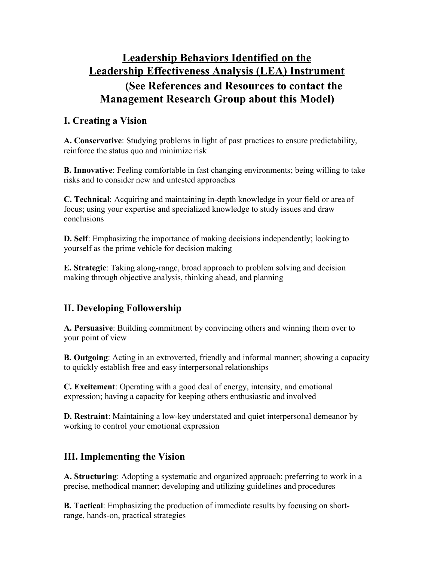## **Leadership Behaviors Identified on the Leadership Effectiveness Analysis (LEA) Instrument (See References and Resources to contact the**

# **Management Research Group about this Model)**

### **I. Creating a Vision**

**A. Conservative**: Studying problems in light of past practices to ensure predictability, reinforce the status quo and minimize risk

**B. Innovative**: Feeling comfortable in fast changing environments; being willing to take risks and to consider new and untested approaches

**C. Technical**: Acquiring and maintaining in-depth knowledge in your field or area of focus; using your expertise and specialized knowledge to study issues and draw conclusions

**D. Self**: Emphasizing the importance of making decisions independently; looking to yourself as the prime vehicle for decision making

**E. Strategic**: Taking along-range, broad approach to problem solving and decision making through objective analysis, thinking ahead, and planning

#### **II. Developing Followership**

**A. Persuasive**: Building commitment by convincing others and winning them over to your point of view

**B. Outgoing**: Acting in an extroverted, friendly and informal manner; showing a capacity to quickly establish free and easy interpersonal relationships

**C. Excitement**: Operating with a good deal of energy, intensity, and emotional expression; having a capacity for keeping others enthusiastic and involved

**D. Restraint**: Maintaining a low-key understated and quiet interpersonal demeanor by working to control your emotional expression

#### **III. Implementing the Vision**

**A. Structuring**: Adopting a systematic and organized approach; preferring to work in a precise, methodical manner; developing and utilizing guidelines and procedures

**B. Tactical**: Emphasizing the production of immediate results by focusing on shortrange, hands-on, practical strategies